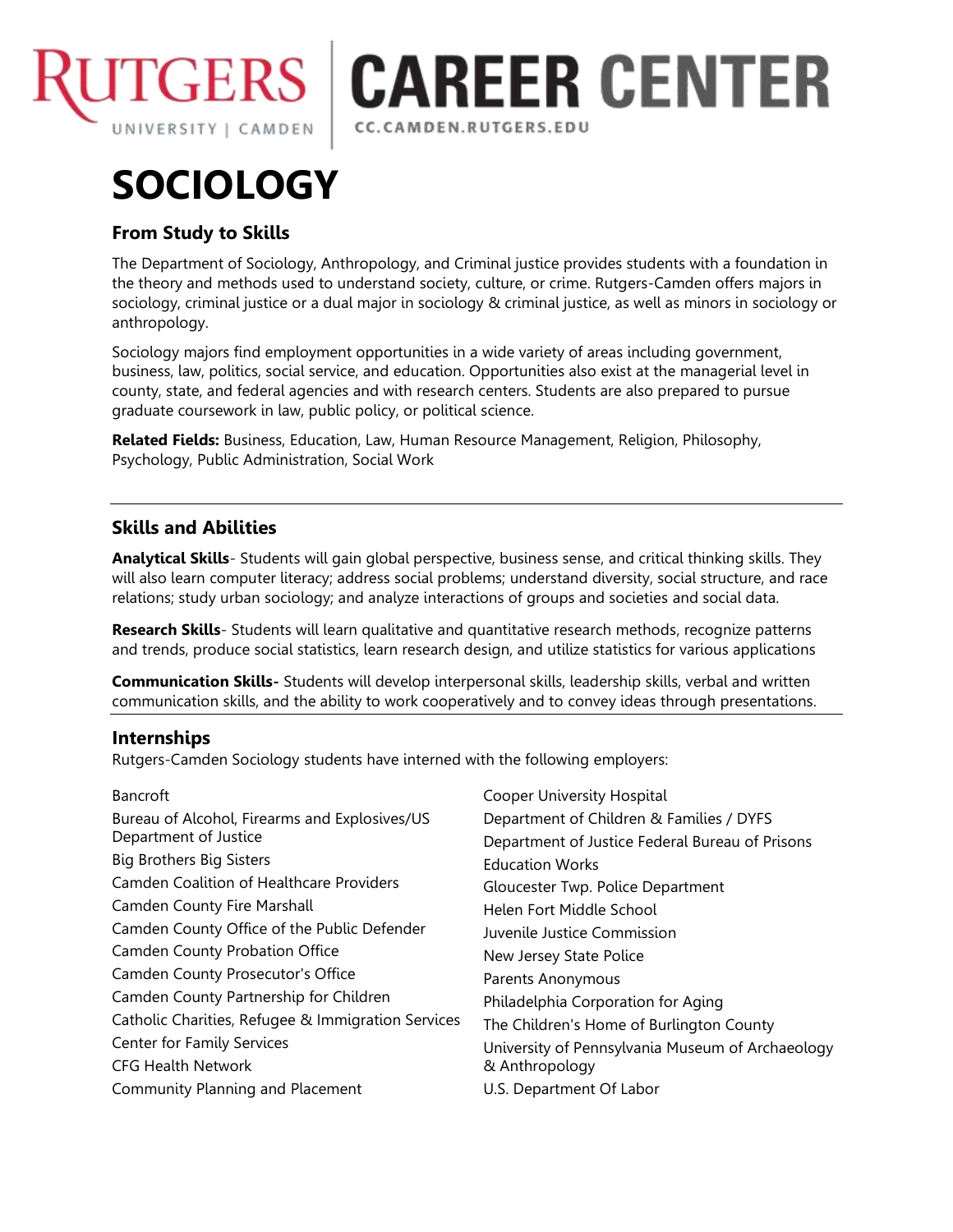

# **CAREER CENTER** CC.CAMDEN.RUTGERS.EDU

# **SOCIOLOGY**

# **From Study to Skills**

The Department of Sociology, Anthropology, and Criminal justice provides students with a foundation in the theory and methods used to understand society, culture, or crime. Rutgers-Camden offers majors in sociology, criminal justice or a dual major in sociology & criminal justice, as well as minors in sociology or anthropology.

Sociology majors find employment opportunities in a wide variety of areas including government, business, law, politics, social service, and education. Opportunities also exist at the managerial level in county, state, and federal agencies and with research centers. Students are also prepared to pursue graduate coursework in law, public policy, or political science.

**Related Fields:** Business, Education, Law, Human Resource Management, Religion, Philosophy, Psychology, Public Administration, Social Work

## **Skills and Abilities**

**Analytical Skills**- Students will gain global perspective, business sense, and critical thinking skills. They will also learn computer literacy; address social problems; understand diversity, social structure, and race relations; study urban sociology; and analyze interactions of groups and societies and social data.

**Research Skills**- Students will learn qualitative and quantitative research methods, recognize patterns and trends, produce social statistics, learn research design, and utilize statistics for various applications

**Communication Skills-** Students will develop interpersonal skills, leadership skills, verbal and written communication skills, and the ability to work cooperatively and to convey ideas through presentations.

## **Internships**

Rutgers-Camden Sociology students have interned with the following employers:

| Bancroft                                           | <b>Cooper University Hospital</b>                |
|----------------------------------------------------|--------------------------------------------------|
| Bureau of Alcohol, Firearms and Explosives/US      | Department of Children & Families / DYFS         |
| Department of Justice                              | Department of Justice Federal Bureau of Prisons  |
| <b>Big Brothers Big Sisters</b>                    | <b>Education Works</b>                           |
| <b>Camden Coalition of Healthcare Providers</b>    | Gloucester Twp. Police Department                |
| <b>Camden County Fire Marshall</b>                 | Helen Fort Middle School                         |
| Camden County Office of the Public Defender        | Juvenile Justice Commission                      |
| <b>Camden County Probation Office</b>              | New Jersey State Police                          |
| Camden County Prosecutor's Office                  | Parents Anonymous                                |
| Camden County Partnership for Children             | Philadelphia Corporation for Aging               |
| Catholic Charities, Refugee & Immigration Services | The Children's Home of Burlington County         |
| Center for Family Services                         | University of Pennsylvania Museum of Archaeology |
| <b>CFG Health Network</b>                          | & Anthropology                                   |
| Community Planning and Placement                   | U.S. Department Of Labor                         |